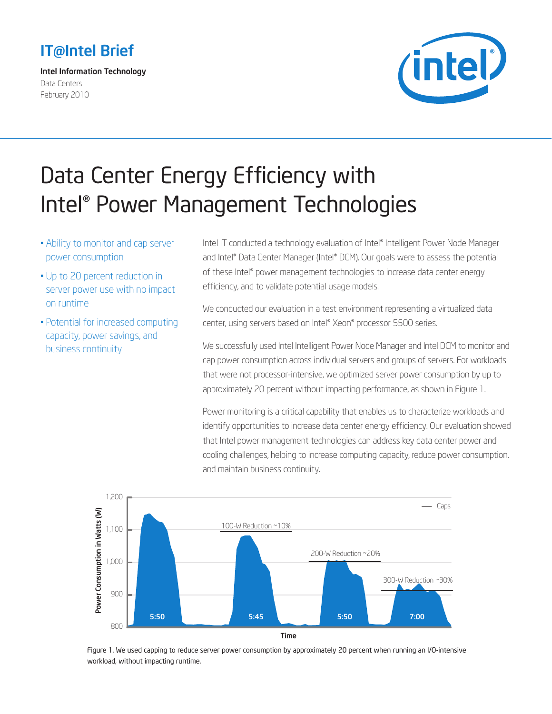## IT@Intel Brief

Intel Information Technology Data Centers February 2010



# Data Center Energy Efficiency with Intel® Power Management Technologies

- Ability to monitor and cap server power consumption
- Up to 20 percent reduction in server power use with no impact on runtime
- Potential for increased computing capacity, power savings, and business continuity

Intel IT conducted a technology evaluation of Intel® Intelligent Power Node Manager and Intel® Data Center Manager (Intel® DCM). Our goals were to assess the potential of these Intel® power management technologies to increase data center energy efficiency, and to validate potential usage models.

We conducted our evaluation in a test environment representing a virtualized data center, using servers based on Intel® Xeon® processor 5500 series.

We successfully used Intel Intelligent Power Node Manager and Intel DCM to monitor and cap power consumption across individual servers and groups of servers. For workloads that were not processor-intensive, we optimized server power consumption by up to approximately 20 percent without impacting performance, as shown in Figure 1.

Power monitoring is a critical capability that enables us to characterize workloads and identify opportunities to increase data center energy efficiency. Our evaluation showed that Intel power management technologies can address key data center power and cooling challenges, helping to increase computing capacity, reduce power consumption, and maintain business continuity.



Figure 1. We used capping to reduce server power consumption by approximately 20 percent when running an I/O-intensive workload, without impacting runtime.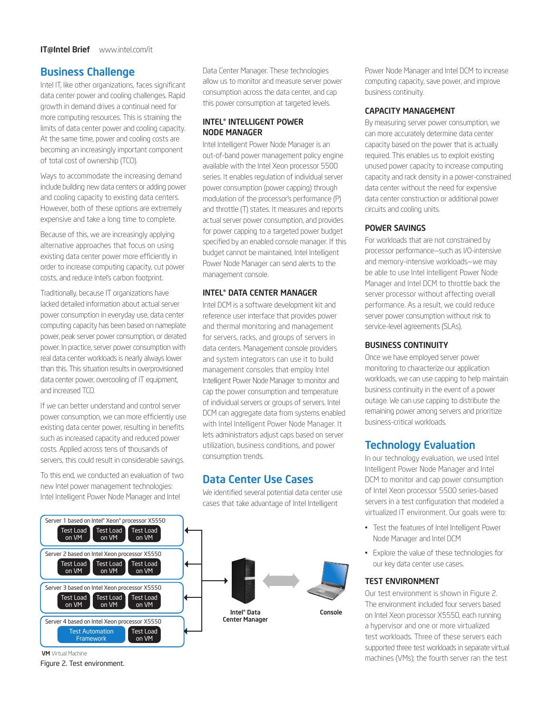## Business Challenge

Intel IT, like other organizations, faces significant data center power and cooling challenges. Rapid growth in demand drives a continual need for more computing resources. This is straining the limits of data center power and cooling capacity. At the same time, power and cooling costs are becoming an increasingly important component of total cost of ownership (TCO).

Ways to accommodate the increasing demand include building new data centers or adding power and cooling capacity to existing data centers. However, both of these options are extremely expensive and take a long time to complete.

Because of this, we are increasingly applying alternative approaches that focus on using existing data center power more efficiently in order to increase computing capacity, cut power costs, and reduce Intel's carbon footprint.

Traditionally, because IT organizations have lacked detailed information about actual server power consumption in everyday use, data center computing capacity has been based on nameplate power, peak server power consumption, or derated power. In practice, server power consumption with real data center workloads is nearly always lower than this. This situation results in overprovisioned data center power, overcooling of IT equipment, and increased TCO.

If we can better understand and control server power consumption, we can more efficiently use existing data center power, resulting in benefits such as increased capacity and reduced power costs. Applied across tens of thousands of servers, this could result in considerable savings.

To this end, we conducted an evaluation of two new Intel power management technologies: Intel Intelligent Power Node Manager and Intel



**VM** Virtual Machine

Data Center Manager. These technologies allow us to monitor and measure server power consumption across the data center, and cap this power consumption at targeted levels.

#### INTEL® INTELLIGENT POWER NODE MANAGER

Intel Intelligent Power Node Manager is an out-of-band power management policy engine available with the Intel Xeon processor 5500 series. It enables regulation of individual server power consumption (power capping) through modulation of the processor's performance (P) and throttle (T) states. It measures and reports actual server power consumption, and provides for power capping to a targeted power budget specified by an enabled console manager. If this budget cannot be maintained, Intel Intelligent Power Node Manager can send alerts to the management console.

#### INTEL® DATA CENTER MANAGER

Intel DCM is a software development kit and reference user interface that provides power and thermal monitoring and management for servers, racks, and groups of servers in data centers. Management console providers and system integrators can use it to build management consoles that employ Intel Intelligent Power Node Manager to monitor and cap the power consumption and temperature of individual servers or groups of servers. Intel DCM can aggregate data from systems enabled with Intel Intelligent Power Node Manager. It lets administrators adjust caps based on server utilization, business conditions, and power consumption trends.

## Data Center Use Cases

We identified several potential data center use cases that take advantage of Intel Intelligent



Power Node Manager and Intel DCM to increase computing capacity, save power, and improve business continuity.

#### CAPACITY MANAGEMENT

By measuring server power consumption, we can more accurately determine data center capacity based on the power that is actually required. This enables us to exploit existing unused power capacity to increase computing capacity and rack density in a power-constrained data center without the need for expensive data center construction or additional power circuits and cooling units.

#### POWER SAVINGS

For workloads that are not constrained by processor performance—such as I/O-intensive and memory-intensive workloads—we may be able to use Intel Intelligent Power Node Manager and Intel DCM to throttle back the server processor without affecting overall performance. As a result, we could reduce server power consumption without risk to service-level agreements (SLAs).

#### BUSINESS CONTINUITY

Once we have employed server power monitoring to characterize our application workloads, we can use capping to help maintain business continuity in the event of a power outage. We can use capping to distribute the remaining power among servers and prioritize business-critical workloads.

## Technology Evaluation

In our technology evaluation, we used Intel Intelligent Power Node Manager and Intel DCM to monitor and cap power consumption of Intel Xeon processor 5500 series-based servers in a test configuration that modeled a virtualized IT environment. Our goals were to:

- • Test the features of Intel Intelligent Power Node Manager and Intel DCM
- • Explore the value of these technologies for our key data center use cases.

#### TEST ENVIRONMENT

Our test environment is shown in Figure 2. The environment included four servers based on Intel Xeon processor X5550, each running a hypervisor and one or more virtualized test workloads. Three of these servers each supported three test workloads in separate virtual machines (VMs); the fourth server ran the test Figure 2. Test environment.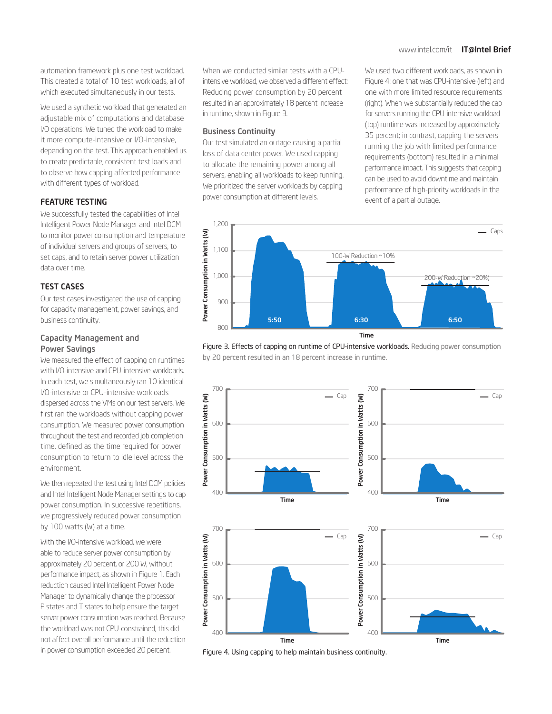#### www.intel.com/it **IT@Intel Brief**

automation framework plus one test workload. This created a total of 10 test workloads, all of which executed simultaneously in our tests.

We used a synthetic workload that generated an adjustable mix of computations and database I/O operations. We tuned the workload to make it more compute-intensive or I/O-intensive, depending on the test. This approach enabled us to create predictable, consistent test loads and to observe how capping affected performance with different types of workload.

#### FEATURE TESTING

We successfully tested the capabilities of Intel Intelligent Power Node Manager and Intel DCM to monitor power consumption and temperature of individual servers and groups of servers, to set caps, and to retain server power utilization data over time.

#### TEST CASES

Our test cases investigated the use of capping for capacity management, power savings, and business continuity.

#### Capacity Management and Power Savings

We measured the effect of capping on runtimes with I/O-intensive and CPU-intensive workloads. In each test, we simultaneously ran 10 identical I/O-intensive or CPU-intensive workloads dispersed across the VMs on our test servers. We first ran the workloads without capping power consumption. We measured power consumption throughout the test and recorded job completion time, defined as the time required for power consumption to return to idle level across the environment.

We then repeated the test using Intel DCM policies and Intel Intelligent Node Manager settings to cap power consumption. In successive repetitions, we progressively reduced power consumption by 100 watts (W) at a time.

With the I/O-intensive workload, we were able to reduce server power consumption by approximately 20 percent, or 200 W, without performance impact, as shown in Figure 1. Each reduction caused Intel Intelligent Power Node Manager to dynamically change the processor P states and T states to help ensure the target server power consumption was reached. Because the workload was not CPU-constrained, this did not affect overall performance until the reduction in power consumption exceeded 20 percent.

When we conducted similar tests with a CPUintensive workload, we observed a different effect: Reducing power consumption by 20 percent resulted in an approximately 18 percent increase in runtime, shown in Figure 3.

#### Business Continuity

Our test simulated an outage causing a partial loss of data center power. We used capping to allocate the remaining power among all servers, enabling all workloads to keep running. We prioritized the server workloads by capping power consumption at different levels.

We used two different workloads, as shown in Figure 4: one that was CPU-intensive (left) and one with more limited resource requirements (right). When we substantially reduced the cap for servers running the CPU-intensive workload (top) runtime was increased by approximately 35 percent; in contrast, capping the servers running the job with limited performance requirements (bottom) resulted in a minimal performance impact. This suggests that capping can be used to avoid downtime and maintain performance of high-priority workloads in the event of a partial outage.



Figure 3. Effects of capping on runtime of CPU-intensive workloads. Reducing power consumption by 20 percent resulted in an 18 percent increase in runtime.



Figure 4. Using capping to help maintain business continuity.